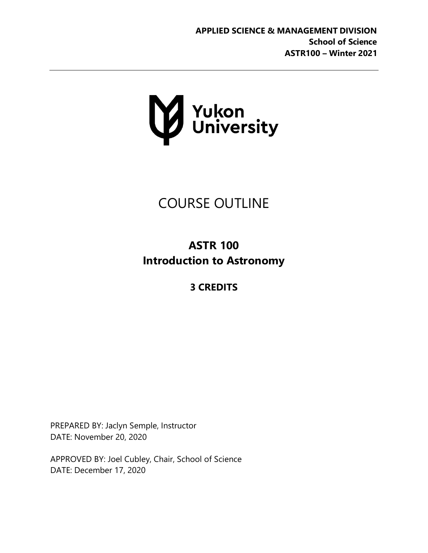

# COURSE OUTLINE

## **ASTR 100 Introduction to Astronomy**

## **3 CREDITS**

PREPARED BY: Jaclyn Semple, Instructor DATE: November 20, 2020

APPROVED BY: Joel Cubley, Chair, School of Science DATE: December 17, 2020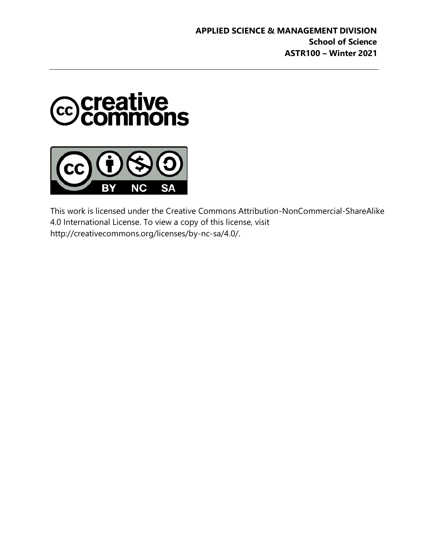



This work is licensed under the Creative Commons Attribution-NonCommercial-ShareAlike 4.0 International License. To view a copy of this license, visi[t](http://creativecommons.org/licenses/by-nc-sa/4.0/) [http://creativecommons.org/licenses/by-nc-sa/4.0/.](http://creativecommons.org/licenses/by-nc-sa/4.0/)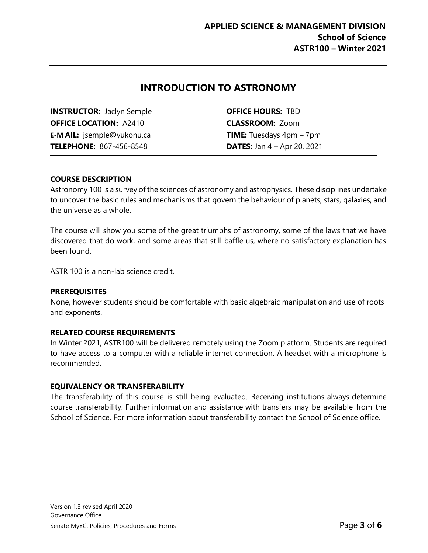### **INTRODUCTION TO ASTRONOMY**

**INSTRUCTOR:** Jaclyn Semple **OFFICE HOURS:** TBD **OFFICE LOCATION:** A2410 **CLASSROOM:** Zoom **E-M AIL:** [jsemple@yukonu.ca](mailto:jsemple@yukonu.ca) **TIME:** Tuesdays 4pm – 7pm **TELEPHONE:** 867-456-8548 **DATES:** Jan 4 – Apr 20, 2021

#### **COURSE DESCRIPTION**

Astronomy 100 is a survey of the sciences of astronomy and astrophysics. These disciplines undertake to uncover the basic rules and mechanisms that govern the behaviour of planets, stars, galaxies, and the universe as a whole.

The course will show you some of the great triumphs of astronomy, some of the laws that we have discovered that do work, and some areas that still baffle us, where no satisfactory explanation has been found.

ASTR 100 is a non-lab science credit.

#### **PREREQUISITES**

None, however students should be comfortable with basic algebraic manipulation and use of roots and exponents.

#### **RELATED COURSE REQUIREMENTS**

In Winter 2021, ASTR100 will be delivered remotely using the Zoom platform. Students are required to have access to a computer with a reliable internet connection. A headset with a microphone is recommended.

#### **EQUIVALENCY OR TRANSFERABILITY**

The transferability of this course is still being evaluated. Receiving institutions always determine course transferability. Further information and assistance with transfers may be available from the School of Science. For more information about transferability contact the School of Science office.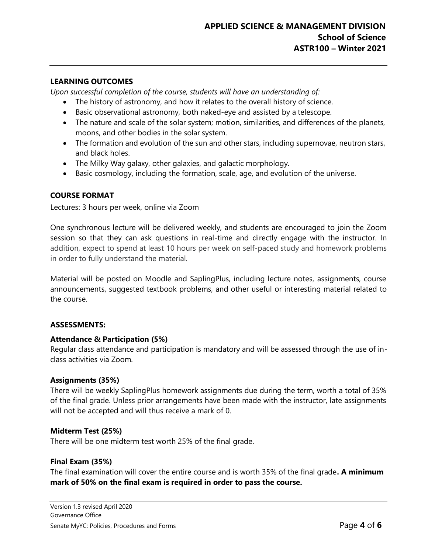#### **LEARNING OUTCOMES**

*Upon successful completion of the course, students will have an understanding of:*

- The history of astronomy, and how it relates to the overall history of science.
- Basic observational astronomy, both naked-eye and assisted by a telescope.
- The nature and scale of the solar system; motion, similarities, and differences of the planets, moons, and other bodies in the solar system.
- The formation and evolution of the sun and other stars, including supernovae, neutron stars, and black holes.
- The Milky Way galaxy, other galaxies, and galactic morphology.
- Basic cosmology, including the formation, scale, age, and evolution of the universe.

#### **COURSE FORMAT**

Lectures: 3 hours per week, online via Zoom

One synchronous lecture will be delivered weekly, and students are encouraged to join the Zoom session so that they can ask questions in real-time and directly engage with the instructor. In addition, expect to spend at least 10 hours per week on self-paced study and homework problems in order to fully understand the material.

Material will be posted on Moodle and SaplingPlus, including lecture notes, assignments, course announcements, suggested textbook problems, and other useful or interesting material related to the course.

#### **ASSESSMENTS:**

#### **Attendance & Participation (5%)**

Regular class attendance and participation is mandatory and will be assessed through the use of inclass activities via Zoom.

#### **Assignments (35%)**

There will be weekly SaplingPlus homework assignments due during the term, worth a total of 35% of the final grade. Unless prior arrangements have been made with the instructor, late assignments will not be accepted and will thus receive a mark of 0.

#### **Midterm Test (25%)**

There will be one midterm test worth 25% of the final grade.

#### **Final Exam (35%)**

The final examination will cover the entire course and is worth 35% of the final grade**. A minimum mark of 50% on the final exam is required in order to pass the course.**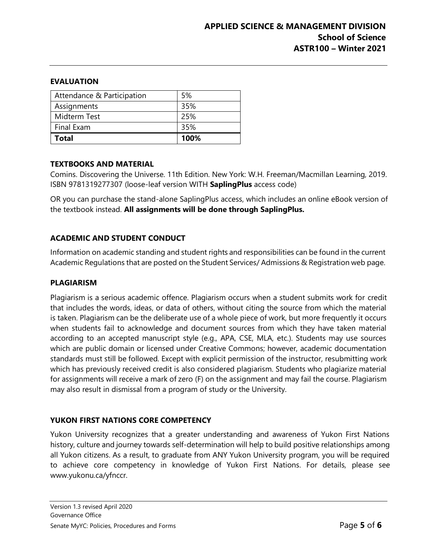#### **EVALUATION**

| Attendance & Participation | 5%   |
|----------------------------|------|
| Assignments                | 35%  |
| Midterm Test               | 25%  |
| Final Exam                 | 35%  |
| <b>Total</b>               | 100% |

#### **TEXTBOOKS AND MATERIAL**

Comins. Discovering the Universe. 11th Edition. New York: W.H. Freeman/Macmillan Learning, 2019. ISBN 9781319277307 (loose-leaf version WITH **SaplingPlus** access code)

OR you can purchase the stand-alone SaplingPlus access, which includes an online eBook version of the textbook instead. **All assignments will be done through SaplingPlus.**

#### **ACADEMIC AND STUDENT CONDUCT**

Information on academic standing and student rights and responsibilities can be found in the current Academic Regulations that are posted on the Student Services/ Admissions & Registration web page.

#### **PLAGIARISM**

Plagiarism is a serious academic offence. Plagiarism occurs when a student submits work for credit that includes the words, ideas, or data of others, without citing the source from which the material is taken. Plagiarism can be the deliberate use of a whole piece of work, but more frequently it occurs when students fail to acknowledge and document sources from which they have taken material according to an accepted manuscript style (e.g., APA, CSE, MLA, etc.). Students may use sources which are public domain or licensed under Creative Commons; however, academic documentation standards must still be followed. Except with explicit permission of the instructor, resubmitting work which has previously received credit is also considered plagiarism. Students who plagiarize material for assignments will receive a mark of zero (F) on the assignment and may fail the course. Plagiarism may also result in dismissal from a program of study or the University.

#### **YUKON FIRST NATIONS CORE COMPETENCY**

Yukon University recognizes that a greater understanding and awareness of Yukon First Nations history, culture and journey towards self-determination will help to build positive relationships among all Yukon citizens. As a result, to graduate from ANY Yukon University program, you will be required to achieve core competency in knowledge of Yukon First Nations. For details, please see [www.yukonu.ca/yfnccr.](http://www.yukonu.ca/yfnccr)